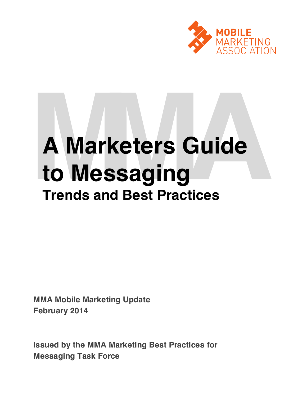

# **A Marketers Guide<br>
<b>to Messaging**<br>
Trends and Best Practices **to Messaging Trends and Best Practices**

**MMA Mobile Marketing Update February 2014**

**Issued by the MMA Marketing Best Practices for Messaging Task Force**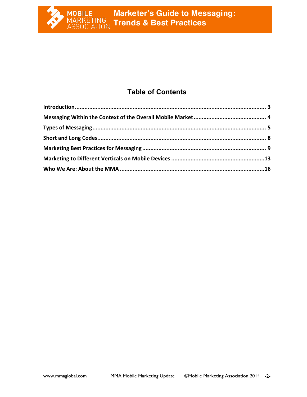

## **Table of Contents**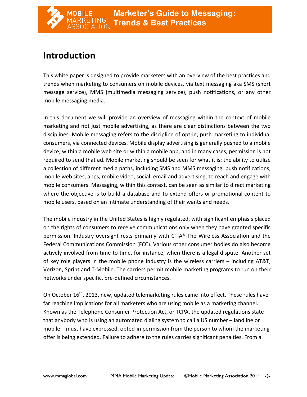# **Introduction**

This white paper is designed to provide marketers with an overview of the best practices and trends when marketing to consumers on mobile devices, via text messaging aka SMS (short message service), MMS (multimedia messaging service), push notifications, or any other mobile messaging media.

In this document we will provide an overview of messaging within the context of mobile marketing and not just mobile advertising, as there are clear distinctions between the two disciplines. Mobile messaging refers to the discipline of opt-in, push marketing to individual consumers, via connected devices. Mobile display advertising is generally pushed to a mobile device, within a mobile web site or within a mobile app, and in many cases, permission is not required to send that ad. Mobile marketing should be seen for what it is: the ability to utilize a collection of different media paths, including SMS and MMS messaging, push notifications, mobile web sites, apps, mobile video, social, email and advertising, to reach and engage with mobile consumers. Messaging, within this context, can be seen as similar to direct marketing where the objective is to build a database and to extend offers or promotional content to mobile users, based on an intimate understanding of their wants and needs.

The mobile industry in the United States is highly regulated, with significant emphasis placed on the rights of consumers to receive communications only when they have granted specific permission. Industry oversight rests primarily with CTIA®-The Wireless Association and the Federal Communications Commission (FCC). Various other consumer bodies do also become actively involved from time to time, for instance, when there is a legal dispute. Another set of key role players in the mobile phone industry is the wireless carriers  $-$  including AT&T, Verizon, Sprint and T-Mobile. The carriers permit mobile marketing programs to run on their networks under specific, pre-defined circumstances.

On October 16<sup>th</sup>, 2013, new, updated telemarketing rules came into effect. These rules have far reaching implications for all marketers who are using mobile as a marketing channel. Known as the Telephone Consumer Protection Act, or TCPA, the updated regulations state that anybody who is using an automated dialing system to call a US number – landline or mobile – must have expressed, opted-in permission from the person to whom the marketing offer is being extended. Failure to adhere to the rules carries significant penalties. From a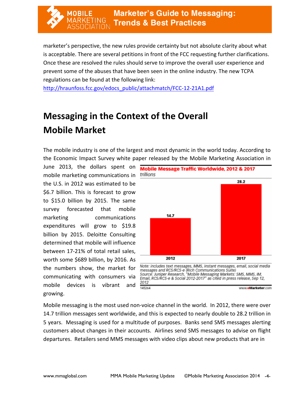marketer's perspective, the new rules provide certainty but not absolute clarity about what is acceptable. There are several petitions in front of the FCC requesting further clarifications. Once these are resolved the rules should serve to improve the overall user experience and prevent some of the abuses that have been seen in the online industry. The new TCPA regulations can be found at the following link:

http://hraunfoss.fcc.gov/edocs\_public/attachmatch/FCC-12-21A1.pdf

# **Messaging in the Context of the Overall Mobile Market**

The mobile industry is one of the largest and most dynamic in the world today. According to the Economic Impact Survey white paper released by the Mobile Marketing Association in

mobile marketing communications in *trillions* the U.S. in 2012 was estimated to be \$6.7 billion. This is forecast to grow to \$15.0 billion by 2015. The same survey forecasted that mobile marketing communications expenditures will grow to \$19.8 billion by 2015. Deloitte Consulting determined that mobile will influence between 17-21% of total retail sales, worth some \$689 billion, by 2016. As the numbers show, the market for communicating with consumers via mobile devices is vibrant and growing.



www.eMarketer.com

Mobile messaging is the most used non-voice channel in the world. In 2012, there were over 14.7 trillion messages sent worldwide, and this is expected to nearly double to 28.2 trillion in 5 years. Messaging is used for a multitude of purposes. Banks send SMS messages alerting customers about changes in their accounts. Airlines send SMS messages to advise on flight departures. Retailers send MMS messages with video clips about new products that are in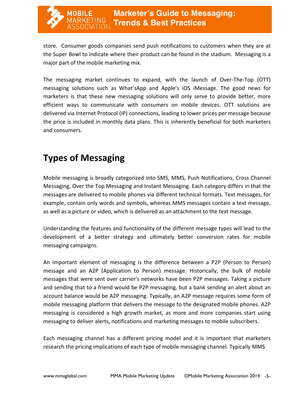store. Consumer goods companies send push notifications to customers when they are at the Super Bowl to indicate where their product can be found in the stadium. Messaging is a major part of the mobile marketing mix.

The messaging market continues to expand, with the launch of Over-The-Top (OTT) messaging solutions such as What'sApp and Apple's iOS iMessage. The good news for marketers is that these new messaging solutions will only serve to provide better, more efficient ways to communicate with consumers on mobile devices. OTT solutions are delivered via Internet Protocol (IP) connections, leading to lower prices per message because the price is included in monthly data plans. This is inherently beneficial for both marketers and consumers.

# **Types of Messaging**

Mobile messaging is broadly categorized into SMS, MMS, Push Notifications, Cross Channel Messaging, Over the Top Messaging and Instant Messaging. Each category differs in that the messages are delivered to mobile phones via different technical formats. Text messages, for example, contain only words and symbols, whereas MMS messages contain a text message, as well as a picture or video, which is delivered as an attachment to the text message.

Understanding the features and functionality of the different message types will lead to the development of a better strategy and ultimately better conversion rates for mobile messaging campaigns.

An important element of messaging is the difference between a P2P (Person to Person) message and an A2P (Application to Person) message. Historically, the bulk of mobile messages that were sent over carrier's networks have been P2P messages. Taking a picture and sending that to a friend would be P2P messaging, but a bank sending an alert about an account balance would be A2P messaging. Typically, an A2P message requires some form of mobile messaging platform that delivers the message to the designated mobile phones. A2P messaging is considered a high growth market, as more and more companies start using messaging to deliver alerts, notifications and marketing messages to mobile subscribers.

Each messaging channel has a different pricing model and it is important that marketers research the pricing implications of each type of mobile messaging channel. Typically MMS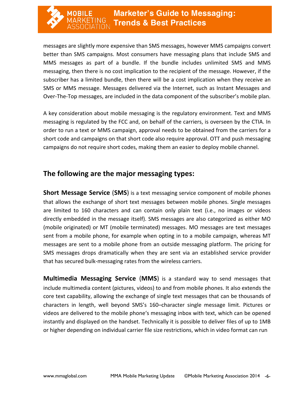messages are slightly more expensive than SMS messages, however MMS campaigns convert better than SMS campaigns. Most consumers have messaging plans that include SMS and MMS messages as part of a bundle. If the bundle includes unlimited SMS and MMS messaging, then there is no cost implication to the recipient of the message. However, if the subscriber has a limited bundle, then there will be a cost implication when they receive an SMS or MMS message. Messages delivered via the Internet, such as Instant Messages and Over-The-Top messages, are included in the data component of the subscriber's mobile plan.

A key consideration about mobile messaging is the regulatory environment. Text and MMS messaging is regulated by the FCC and, on behalf of the carriers, is overseen by the CTIA. In order to run a text or MMS campaign, approval needs to be obtained from the carriers for a short code and campaigns on that short code also require approval. OTT and push messaging campaigns do not require short codes, making them an easier to deploy mobile channel.

### **The following are the major messaging types:**

**Short Message Service (SMS)** is a text messaging service component of mobile phones that allows the exchange of short text messages between mobile phones. Single messages are limited to 160 characters and can contain only plain text (i.e., no images or videos directly embedded in the message itself). SMS messages are also categorized as either MO (mobile originated) or MT (mobile terminated) messages. MO messages are text messages sent from a mobile phone, for example when opting in to a mobile campaign, whereas MT messages are sent to a mobile phone from an outside messaging platform. The pricing for SMS messages drops dramatically when they are sent via an established service provider that has secured bulk-messaging rates from the wireless carriers.

**Multimedia Messaging Service (MMS)** is a standard way to send messages that include multimedia content (pictures, videos) to and from mobile phones. It also extends the core text capability, allowing the exchange of single text messages that can be thousands of characters in length, well beyond SMS's 160-character single message limit. Pictures or videos are delivered to the mobile phone's messaging inbox with text, which can be opened instantly and displayed on the handset. Technically it is possible to deliver files of up to 1MB or higher depending on individual carrier file size restrictions, which in video format can run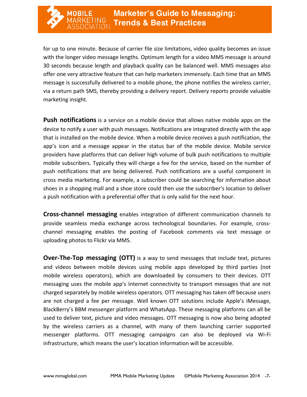for up to one minute. Because of carrier file size limitations, video quality becomes an issue with the longer video message lengths. Optimum length for a video MMS message is around 30 seconds because length and playback quality can be balanced well. MMS messages also offer one very attractive feature that can help marketers immensely. Each time that an MMS message is successfully delivered to a mobile phone, the phone notifies the wireless carrier, via a return path SMS, thereby providing a delivery report. Delivery reports provide valuable marketing insight.

**Push notifications** is a service on a mobile device that allows native mobile apps on the device to notify a user with push messages. Notifications are integrated directly with the app that is installed on the mobile device. When a mobile device receives a push notification, the app's icon and a message appear in the status bar of the mobile device. Mobile service providers have platforms that can deliver high volume of bulk push notifications to multiple mobile subscribers. Typically they will charge a fee for the service, based on the number of push notifications that are being delivered. Push notifications are a useful component in cross media marketing. For example, a subscriber could be searching for information about shoes in a shopping mall and a shoe store could then use the subscriber's location to deliver a push notification with a preferential offer that is only valid for the next hour.

**Cross-channel messaging** enables integration of different communication channels to provide seamless media exchange across technological boundaries. For example, crosschannel messaging enables the posting of Facebook comments via text message or uploading photos to Flickr via MMS.

**Over-The-Top messaging (OTT)** is a way to send messages that include text, pictures and videos between mobile devices using mobile apps developed by third parties (not mobile wireless operators), which are downloaded by consumers to their devices. OTT messaging uses the mobile app's Internet connectivity to transport messages that are not charged separately by mobile wireless operators. OTT messaging has taken off because users are not charged a fee per message. Well known OTT solutions include Apple's iMessage, BlackBerry's BBM messenger platform and WhatsApp. These messaging platforms can all be used to deliver text, picture and video messages. OTT messaging is now also being adopted by the wireless carriers as a channel, with many of them launching carrier supported messenger platforms. OTT messaging campaigns can also be deployed via Wi-Fi infrastructure, which means the user's location information will be accessible.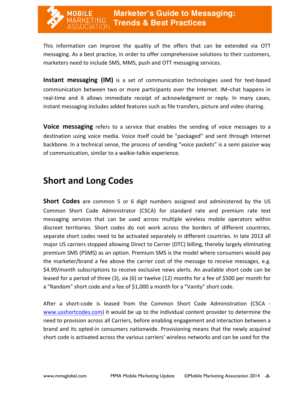This information can improve the quality of the offers that can be extended via OTT messaging. As a best practice, in order to offer comprehensive solutions to their customers, marketers need to include SMS, MMS, push and OTT messaging services.

**Instant messaging (IM)** is a set of communication technologies used for text-based communication between two or more participants over the Internet. IM–chat happens in real-time and it allows immediate receipt of acknowledgment or reply. In many cases, instant messaging includes added features such as file transfers, picture and video sharing.

**Voice messaging** refers to a service that enables the sending of voice messages to a destination using voice media. Voice itself could be "packaged" and sent through Internet backbone. In a technical sense, the process of sending "voice packets" is a semi passive way of communication, similar to a walkie-talkie experience.

# **Short and Long Codes**

**Short Codes** are common 5 or 6 digit numbers assigned and administered by the US Common Short Code Administrator (CSCA) for standard rate and premium rate text messaging services that can be used across multiple wireless mobile operators within discreet territories. Short codes do not work across the borders of different countries, separate short codes need to be activated separately in different countries. In late 2013 all major US carriers stopped allowing Direct to Carrier (DTC) billing, thereby largely eliminating premium SMS (PSMS) as an option. Premium SMS is the model where consumers would pay the marketer/brand a fee above the carrier cost of the message to receive messages, e.g. \$4.99/month subscriptions to receive exclusive news alerts. An available short code can be leased for a period of three (3), six (6) or twelve (12) months for a fee of \$500 per month for a "Random" short code and a fee of \$1,000 a month for a "Vanity" short code.

After a short-code is leased from the Common Short Code Administration (CSCA www.usshortcodes.com) it would be up to the individual content provider to determine the need to provision across all Carriers, before enabling engagement and interaction between a brand and its opted-in consumers nationwide. Provisioning means that the newly acquired short code is activated across the various carriers' wireless networks and can be used for the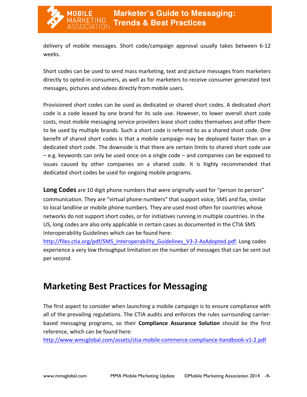

delivery of mobile messages. Short code/campaign approval usually takes between 6-12 weeks.

Short codes can be used to send mass marketing, text and picture messages from marketers directly to opted-in consumers, as well as for marketers to receive consumer generated text messages, pictures and videos directly from mobile users.

Provisioned short codes can be used as dedicated or shared short codes. A dedicated short code is a code leased by one brand for its sole use. However, to lower overall short code costs, most mobile messaging service providers lease short codes themselves and offer them to be used by multiple brands. Such a short code is referred to as a shared short code. One benefit of shared short codes is that a mobile campaign may be deployed faster than on a dedicated short code. The downside is that there are certain limits to shared short code use  $-$  e.g. keywords can only be used once on a single code  $-$  and companies can be exposed to issues caused by other companies on a shared code. It is highly recommended that dedicated short codes be used for ongoing mobile programs.

**Long Codes** are 10 digit phone numbers that were originally used for "person to person" communication. They are "virtual phone numbers" that support voice, SMS and fax, similar to local landline or mobile phone numbers. They are used most often for countries whose networks do not support short codes, or for initiatives running in multiple countries. In the US, long codes are also only applicable in certain cases as documented in the CTIA SMS Interoperability Guidelines which can be found here:

http://files.ctia.org/pdf/SMS\_Interoperability Guidelines V3-2-AsAdopted.pdf. Long codes experience a very low throughput limitation on the number of messages that can be sent out per second.

# **Marketing Best Practices for Messaging**

The first aspect to consider when launching a mobile campaign is to ensure compliance with all of the prevailing regulations. The CTIA audits and enforces the rules surrounding carrierbased messaging programs, so their **Compliance Assurance Solution** should be the first reference, which can be found here:

http://www.wmcglobal.com/assets/ctia-mobile-commerce-compliance-handbook-v1-2.pdf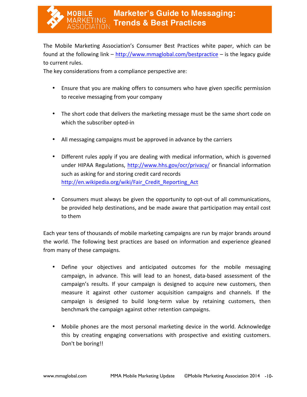

The Mobile Marketing Association's Consumer Best Practices white paper, which can be found at the following  $\text{link} - \text{http://www.mmaglobal.com/bestpractive} - \text{is the legacy guide}$ to current rules.

The key considerations from a compliance perspective are:

- Ensure that you are making offers to consumers who have given specific permission to receive messaging from your company
- The short code that delivers the marketing message must be the same short code on which the subscriber opted-in
- All messaging campaigns must be approved in advance by the carriers
- Different rules apply if you are dealing with medical information, which is governed under HIPAA Regulations, http://www.hhs.gov/ocr/privacy/ or financial information such as asking for and storing credit card records http://en.wikipedia.org/wiki/Fair\_Credit\_Reporting\_Act
- Consumers must always be given the opportunity to opt-out of all communications, be provided help destinations, and be made aware that participation may entail cost to them

Each year tens of thousands of mobile marketing campaigns are run by major brands around the world. The following best practices are based on information and experience gleaned from many of these campaigns.

- Define your objectives and anticipated outcomes for the mobile messaging campaign, in advance. This will lead to an honest, data-based assessment of the campaign's results. If your campaign is designed to acquire new customers, then measure it against other customer acquisition campaigns and channels. If the campaign is designed to build long-term value by retaining customers, then benchmark the campaign against other retention campaigns.
- Mobile phones are the most personal marketing device in the world. Acknowledge this by creating engaging conversations with prospective and existing customers. Don't be boring!!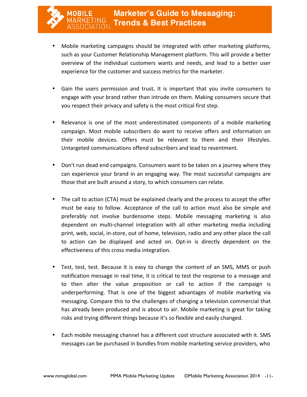- Mobile marketing campaigns should be integrated with other marketing platforms, such as your Customer Relationship Management platform. This will provide a better overview of the individual customers wants and needs, and lead to a better user experience for the customer and success metrics for the marketer.
- Gain the users permission and trust. It is important that you invite consumers to engage with your brand rather than intrude on them. Making consumers secure that you respect their privacy and safety is the most critical first step.
- Relevance is one of the most underestimated components of a mobile marketing campaign. Most mobile subscribers do want to receive offers and information on their mobile devices. Offers must be relevant to them and their lifestyles. Untargeted communications offend subscribers and lead to resentment.
- Don't run dead end campaigns. Consumers want to be taken on a journey where they can experience your brand in an engaging way. The most successful campaigns are those that are built around a story, to which consumers can relate.
- The call to action (CTA) must be explained clearly and the process to accept the offer must be easy to follow. Acceptance of the call to action must also be simple and preferably not involve burdensome steps. Mobile messaging marketing is also dependent on multi-channel integration with all other marketing media including print, web, social, in-store, out of home, television, radio and any other place the call to action can be displayed and acted on. Opt-in is directly dependent on the effectiveness of this cross media integration.
- Test, test, test. Because it is easy to change the content of an SMS, MMS or push notification message in real time, it is critical to test the response to a message and to then alter the value proposition or call to action if the campaign is underperforming. That is one of the biggest advantages of mobile marketing via messaging. Compare this to the challenges of changing a television commercial that has already been produced and is about to air. Mobile marketing is great for taking risks and trying different things because it's so flexible and easily changed.
- Each mobile messaging channel has a different cost structure associated with it. SMS messages can be purchased in bundles from mobile marketing service providers, who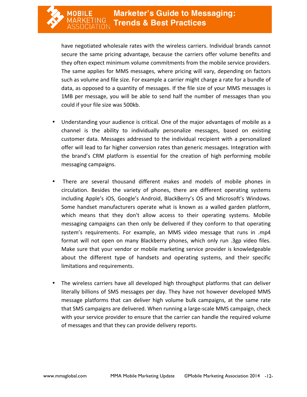have negotiated wholesale rates with the wireless carriers. Individual brands cannot secure the same pricing advantage, because the carriers offer volume benefits and they often expect minimum volume commitments from the mobile service providers. The same applies for MMS messages, where pricing will vary, depending on factors such as volume and file size. For example a carrier might charge a rate for a bundle of data, as opposed to a quantity of messages. If the file size of your MMS messages is 1MB per message, you will be able to send half the number of messages than you could if your file size was 500kb.

- Understanding your audience is critical. One of the major advantages of mobile as a channel is the ability to individually personalize messages, based on existing customer data. Messages addressed to the individual recipient with a personalized offer will lead to far higher conversion rates than generic messages. Integration with the brand's CRM platform is essential for the creation of high performing mobile messaging campaigns.
- There are several thousand different makes and models of mobile phones in circulation. Besides the variety of phones, there are different operating systems including Apple's iOS, Google's Android, BlackBerry's OS and Microsoft's Windows. Some handset manufacturers operate what is known as a walled garden platform, which means that they don't allow access to their operating systems. Mobile messaging campaigns can then only be delivered if they conform to that operating system's requirements. For example, an MMS video message that runs in .mp4 format will not open on many Blackberry phones, which only run .3gp video files. Make sure that your vendor or mobile marketing service provider is knowledgeable about the different type of handsets and operating systems, and their specific limitations and requirements.
- The wireless carriers have all developed high throughput platforms that can deliver literally billions of SMS messages per day. They have not however developed MMS message platforms that can deliver high volume bulk campaigns, at the same rate that SMS campaigns are delivered. When running a large-scale MMS campaign, check with your service provider to ensure that the carrier can handle the required volume of messages and that they can provide delivery reports.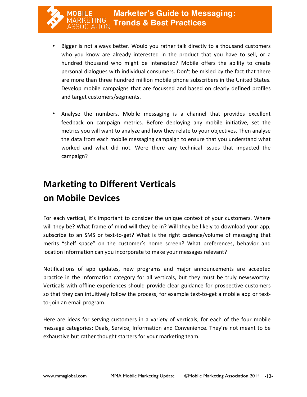- Bigger is not always better. Would you rather talk directly to a thousand customers who you know are already interested in the product that you have to sell, or a hundred thousand who might be interested? Mobile offers the ability to create personal dialogues with individual consumers. Don't be misled by the fact that there are more than three hundred million mobile phone subscribers in the United States. Develop mobile campaigns that are focussed and based on clearly defined profiles and target customers/segments.
- Analyse the numbers. Mobile messaging is a channel that provides excellent feedback on campaign metrics. Before deploying any mobile initiative, set the metrics you will want to analyze and how they relate to your objectives. Then analyse the data from each mobile messaging campaign to ensure that you understand what worked and what did not. Were there any technical issues that impacted the campaign?

# **Marketing to Different Verticals on Mobile Devices**

For each vertical, it's important to consider the unique context of your customers. Where will they be? What frame of mind will they be in? Will they be likely to download your app, subscribe to an SMS or text-to-get? What is the right cadence/volume of messaging that merits "shelf space" on the customer's home screen? What preferences, behavior and location information can you incorporate to make your messages relevant?

Notifications of app updates, new programs and major announcements are accepted practice in the Information category for all verticals, but they must be truly newsworthy. Verticals with offline experiences should provide clear guidance for prospective customers so that they can intuitively follow the process, for example text-to-get a mobile app or textto-join an email program.

Here are ideas for serving customers in a variety of verticals, for each of the four mobile message categories: Deals, Service, Information and Convenience. They're not meant to be exhaustive but rather thought starters for your marketing team.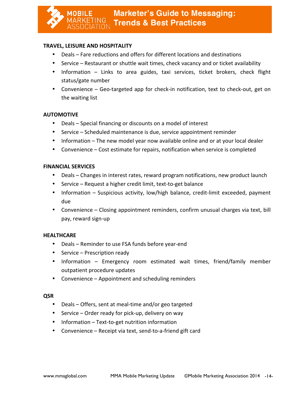#### **TRAVEL, LEISURE AND HOSPITALITY**

- Deals Fare reductions and offers for different locations and destinations
- Service Restaurant or shuttle wait times, check vacancy and or ticket availability
- Information Links to area guides, taxi services, ticket brokers, check flight status/gate number
- Convenience Geo-targeted app for check-in notification, text to check-out, get on the waiting list

#### **AUTOMOTIVE**

- Deals Special financing or discounts on a model of interest
- Service Scheduled maintenance is due, service appointment reminder
- Information The new model year now available online and or at your local dealer
- Convenience Cost estimate for repairs, notification when service is completed

#### **FINANCIAL SERVICES**

- Deals Changes in interest rates, reward program notifications, new product launch
- Service Request a higher credit limit, text-to-get balance
- Information  $-$  Suspicious activity, low/high balance, credit-limit exceeded, payment due
- Convenience Closing appointment reminders, confirm unusual charges via text, bill pay, reward sign-up

#### **HEALTHCARE**

- Deals Reminder to use FSA funds before year-end
- Service  $-$  Prescription ready
- Information Emergency room estimated wait times, friend/family member outpatient procedure updates
- Convenience  $-$  Appointment and scheduling reminders

#### **QSR**

- Deals Offers, sent at meal-time and/or geo targeted
- Service  $-$  Order ready for pick-up, delivery on way
- Information Text-to-get nutrition information
- Convenience Receipt via text, send-to-a-friend gift card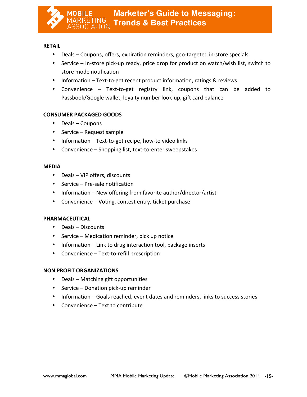

#### **RETAIL**

- Deals Coupons, offers, expiration reminders, geo-targeted in-store specials
- Service In-store pick-up ready, price drop for product on watch/wish list, switch to store mode notification
- Information Text-to-get recent product information, ratings & reviews
- Convenience Text-to-get registry link, coupons that can be added to Passbook/Google wallet, loyalty number look-up, gift card balance

#### **CONSUMER PACKAGED GOODS**

- $\bullet$  Deals Coupons
- Service Request sample
- Information Text-to-get recipe, how-to video links
- Convenience Shopping list, text-to-enter sweepstakes

#### **MEDIA**

- Deals VIP offers, discounts
- Service  $-$  Pre-sale notification
- Information New offering from favorite author/director/artist
- Convenience Voting, contest entry, ticket purchase

#### **PHARMACEUTICAL**

- Deals Discounts
- Service Medication reminder, pick up notice
- Information Link to drug interaction tool, package inserts
- Convenience Text-to-refill prescription

#### **NON PROFIT ORGANIZATIONS**

- Deals Matching gift opportunities
- Service Donation pick-up reminder
- Information Goals reached, event dates and reminders, links to success stories
- Convenience  $-$  Text to contribute